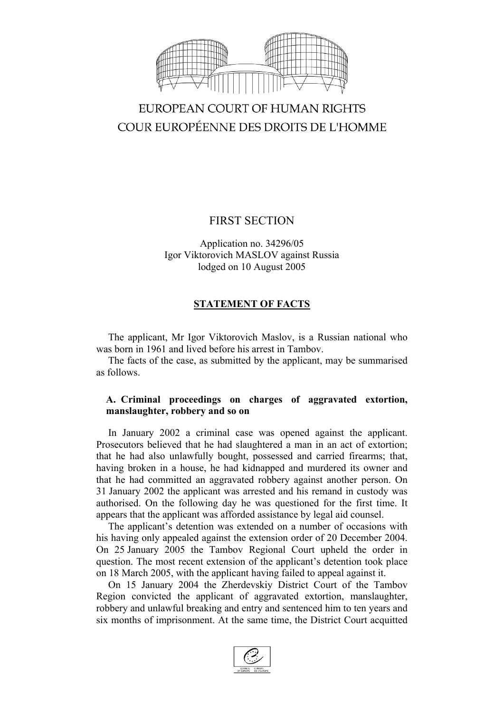

# EUROPEAN COURT OF HUMAN RIGHTS COUR EUROPÉENNE DES DROITS DE L'HOMME

# FIRST SECTION

Application no. 34296/05 Igor Viktorovich MASLOV against Russia lodged on 10 August 2005

# **STATEMENT OF FACTS**

The applicant, Mr Igor Viktorovich Maslov, is a Russian national who was born in 1961 and lived before his arrest in Tambov.

The facts of the case, as submitted by the applicant, may be summarised as follows.

### **A. Criminal proceedings on charges of aggravated extortion, manslaughter, robbery and so on**

In January 2002 a criminal case was opened against the applicant. Prosecutors believed that he had slaughtered a man in an act of extortion; that he had also unlawfully bought, possessed and carried firearms; that, having broken in a house, he had kidnapped and murdered its owner and that he had committed an aggravated robbery against another person. On 31 January 2002 the applicant was arrested and his remand in custody was authorised. On the following day he was questioned for the first time. It appears that the applicant was afforded assistance by legal aid counsel.

The applicant's detention was extended on a number of occasions with his having only appealed against the extension order of 20 December 2004. On 25 January 2005 the Tambov Regional Court upheld the order in question. The most recent extension of the applicant's detention took place on 18 March 2005, with the applicant having failed to appeal against it.

On 15 January 2004 the Zherdevskiy District Court of the Tambov Region convicted the applicant of aggravated extortion, manslaughter, robbery and unlawful breaking and entry and sentenced him to ten years and six months of imprisonment. At the same time, the District Court acquitted

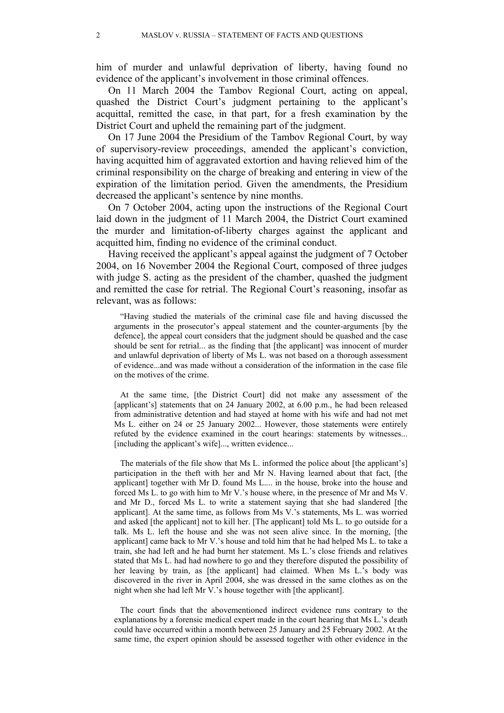him of murder and unlawful deprivation of liberty, having found no evidence of the applicant's involvement in those criminal offences.

On 11 March 2004 the Tambov Regional Court, acting on appeal, quashed the District Court's judgment pertaining to the applicant's acquittal, remitted the case, in that part, for a fresh examination by the District Court and upheld the remaining part of the judgment.

On 17 June 2004 the Presidium of the Tambov Regional Court, by way of supervisory-review proceedings, amended the applicant's conviction, having acquitted him of aggravated extortion and having relieved him of the criminal responsibility on the charge of breaking and entering in view of the expiration of the limitation period. Given the amendments, the Presidium decreased the applicant's sentence by nine months.

On 7 October 2004, acting upon the instructions of the Regional Court laid down in the judgment of 11 March 2004, the District Court examined the murder and limitation-of-liberty charges against the applicant and acquitted him, finding no evidence of the criminal conduct.

Having received the applicant's appeal against the judgment of 7 October 2004, on 16 November 2004 the Regional Court, composed of three judges with judge S. acting as the president of the chamber, quashed the judgment and remitted the case for retrial. The Regional Court's reasoning, insofar as relevant, was as follows:

"Having studied the materials of the criminal case file and having discussed the arguments in the prosecutor's appeal statement and the counter-arguments [by the defence], the appeal court considers that the judgment should be quashed and the case should be sent for retrial... as the finding that [the applicant] was innocent of murder and unlawful deprivation of liberty of Ms L. was not based on a thorough assessment of evidence...and was made without a consideration of the information in the case file on the motives of the crime.

At the same time, [the District Court] did not make any assessment of the [applicant's] statements that on 24 January 2002, at 6.00 p.m., he had been released from administrative detention and had stayed at home with his wife and had not met Ms L. either on 24 or 25 January 2002... However, those statements were entirely refuted by the evidence examined in the court hearings: statements by witnesses... [including the applicant's wife]..., written evidence...

The materials of the file show that Ms L. informed the police about [the applicant's] participation in the theft with her and Mr N. Having learned about that fact, [the applicant] together with Mr D. found Ms L.... in the house, broke into the house and forced Ms L. to go with him to Mr V.'s house where, in the presence of Mr and Ms V. and Mr D., forced Ms L. to write a statement saying that she had slandered [the applicant]. At the same time, as follows from Ms V.'s statements, Ms L. was worried and asked [the applicant] not to kill her. [The applicant] told Ms L. to go outside for a talk. Ms L. left the house and she was not seen alive since. In the morning, [the applicant] came back to Mr V.'s house and told him that he had helped Ms L. to take a train, she had left and he had burnt her statement. Ms L.'s close friends and relatives stated that Ms L. had had nowhere to go and they therefore disputed the possibility of her leaving by train, as [the applicant] had claimed. When Ms L.'s body was discovered in the river in April 2004, she was dressed in the same clothes as on the night when she had left Mr V.'s house together with [the applicant].

The court finds that the abovementioned indirect evidence runs contrary to the explanations by a forensic medical expert made in the court hearing that Ms L.'s death could have occurred within a month between 25 January and 25 February 2002. At the same time, the expert opinion should be assessed together with other evidence in the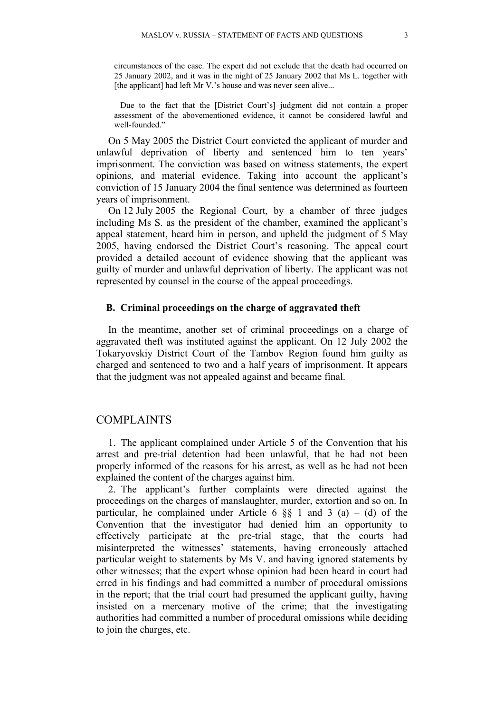circumstances of the case. The expert did not exclude that the death had occurred on 25 January 2002, and it was in the night of 25 January 2002 that Ms L. together with [the applicant] had left Mr V.'s house and was never seen alive...

Due to the fact that the [District Court's] judgment did not contain a proper assessment of the abovementioned evidence, it cannot be considered lawful and well-founded."

On 5 May 2005 the District Court convicted the applicant of murder and unlawful deprivation of liberty and sentenced him to ten years' imprisonment. The conviction was based on witness statements, the expert opinions, and material evidence. Taking into account the applicant's conviction of 15 January 2004 the final sentence was determined as fourteen years of imprisonment.

On 12 July 2005 the Regional Court, by a chamber of three judges including Ms S. as the president of the chamber, examined the applicant's appeal statement, heard him in person, and upheld the judgment of 5 May 2005, having endorsed the District Court's reasoning. The appeal court provided a detailed account of evidence showing that the applicant was guilty of murder and unlawful deprivation of liberty. The applicant was not represented by counsel in the course of the appeal proceedings.

#### **B. Criminal proceedings on the charge of aggravated theft**

In the meantime, another set of criminal proceedings on a charge of aggravated theft was instituted against the applicant. On 12 July 2002 the Tokaryovskiy District Court of the Tambov Region found him guilty as charged and sentenced to two and a half years of imprisonment. It appears that the judgment was not appealed against and became final.

#### COMPLAINTS

1. The applicant complained under Article 5 of the Convention that his arrest and pre-trial detention had been unlawful, that he had not been properly informed of the reasons for his arrest, as well as he had not been explained the content of the charges against him.

2. The applicant's further complaints were directed against the proceedings on the charges of manslaughter, murder, extortion and so on. In particular, he complained under Article 6  $\S$  1 and 3 (a) – (d) of the Convention that the investigator had denied him an opportunity to effectively participate at the pre-trial stage, that the courts had misinterpreted the witnesses' statements, having erroneously attached particular weight to statements by Ms V. and having ignored statements by other witnesses; that the expert whose opinion had been heard in court had erred in his findings and had committed a number of procedural omissions in the report; that the trial court had presumed the applicant guilty, having insisted on a mercenary motive of the crime; that the investigating authorities had committed a number of procedural omissions while deciding to join the charges, etc.